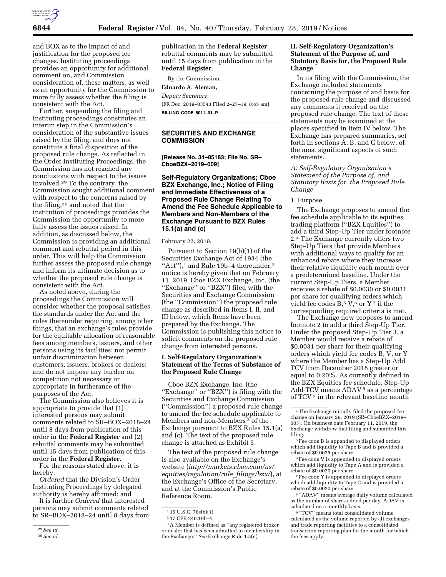

and BOX as to the impact of and justification for the proposed fee changes. Instituting proceedings provides an opportunity for additional comment on, and Commission consideration of, these matters, as well as an opportunity for the Commission to more fully assess whether the filing is consistent with the Act.

Further, suspending the filing and instituting proceedings constitutes an interim step in the Commission's consideration of the substantive issues raised by the filing, and does not constitute a final disposition of the proposed rule change. As reflected in the Order Instituting Proceedings, the Commission has not reached any conclusions with respect to the issues involved.29 To the contrary, the Commission sought additional comment with respect to the concerns raised by the filing,30 and noted that the institution of proceedings provides the Commission the opportunity to more fully assess the issues raised. In addition, as discussed below, the Commission is providing an additional comment and rebuttal period in this order. This will help the Commission further assess the proposed rule change and inform its ultimate decision as to whether the proposed rule change is consistent with the Act.

As noted above, during the proceedings the Commission will consider whether the proposal satisfies the standards under the Act and the rules thereunder requiring, among other things, that an exchange's rules provide for the equitable allocation of reasonable fees among members, issuers, and other persons using its facilities; not permit unfair discrimination between customers, issuers, brokers or dealers; and do not impose any burden on competition not necessary or appropriate in furtherance of the purposes of the Act.

The Commission also believes it is appropriate to provide that (1) interested persons may submit comments related to SR–BOX–2018–24 until 8 days from publication of this order in the **Federal Register** and (2) rebuttal comments may be submitted until 15 days from publication of this order in the **Federal Register**.

For the reasons stated above, it is hereby:

*Ordered* that the Division's Order Instituting Proceedings by delegated authority is hereby affirmed; and

It is further *Ordered* that interested persons may submit comments related to SR–BOX–2018–24 until 8 days from publication in the **Federal Register**; rebuttal comments may be submitted until 15 days from publication in the **Federal Register**.

By the Commission. **Eduardo A. Aleman,** 

*Deputy Secretary.* 

[FR Doc. 2019–03543 Filed 2–27–19; 8:45 am] **BILLING CODE 8011–01–P** 

# **SECURITIES AND EXCHANGE COMMISSION**

**[Release No. 34–85183; File No. SR– CboeBZX–2019–009]** 

# **Self-Regulatory Organizations; Cboe BZX Exchange, Inc.; Notice of Filing and Immediate Effectiveness of a Proposed Rule Change Relating To Amend the Fee Schedule Applicable to Members and Non-Members of the Exchange Pursuant to BZX Rules 15.1(a) and (c)**

#### February 22, 2019.

Pursuant to Section 19(b)(1) of the Securities Exchange Act of 1934 (the ''Act''),1 and Rule 19b–4 thereunder,2 notice is hereby given that on February 11, 2019, Cboe BZX Exchange, Inc. (the ''Exchange'' or ''BZX'') filed with the Securities and Exchange Commission (the ''Commission'') the proposed rule change as described in Items I, II, and III below, which Items have been prepared by the Exchange. The Commission is publishing this notice to solicit comments on the proposed rule change from interested persons.

# **I. Self-Regulatory Organization's Statement of the Terms of Substance of the Proposed Rule Change**

Cboe BZX Exchange, Inc. (the "Exchange" or "BZX") is filing with the Securities and Exchange Commission (''Commission'') a proposed rule change to amend the fee schedule applicable to Members and non-Members 3 of the Exchange pursuant to BZX Rules 15.1(a) and (c). The text of the proposed rule change is attached as Exhibit 5.

The text of the proposed rule change is also available on the Exchange's website (*[http://markets.cboe.com/us/](http://markets.cboe.com/us/equities/regulation/rule_filings/bzx/) [equities/regulation/rule](http://markets.cboe.com/us/equities/regulation/rule_filings/bzx/)*\_*filings/bzx/*), at the Exchange's Office of the Secretary, and at the Commission's Public Reference Room.

3A Member is defined as ''any registered broker or dealer that has been admitted to membership in the Exchange.'' *See* Exchange Rule 1.5(n).

# **II. Self-Regulatory Organization's Statement of the Purpose of, and Statutory Basis for, the Proposed Rule Change**

In its filing with the Commission, the Exchange included statements concerning the purpose of and basis for the proposed rule change and discussed any comments it received on the proposed rule change. The text of these statements may be examined at the places specified in Item IV below. The Exchange has prepared summaries, set forth in sections A, B, and C below, of the most significant aspects of such statements.

*A. Self-Regulatory Organization's Statement of the Purpose of, and Statutory Basis for, the Proposed Rule Change* 

#### 1. Purpose

The Exchange proposes to amend the fee schedule applicable to its equities trading platform (''BZX Equities'') to add a third Step-Up Tier under footnote 2.4 The Exchange currently offers two Step-Up Tiers that provide Members with additional ways to qualify for an enhanced rebate where they increase their relative liquidity each month over a predetermined baseline. Under the current Step-Up Tiers, a Member receives a rebate of \$0.0030 or \$0.0031 per share for qualifying orders which yield fee codes  $B$ ,<sup>5</sup> V,<sup>6</sup> or Y<sup>7</sup> if the corresponding required criteria is met.

The Exchange now proposes to amend footnote 2 to add a third Step-Up Tier. Under the proposed Step-Up Tier 3, a Member would receive a rebate of \$0.0031 per share for their qualifying orders which yield fee codes B, V, or Y where the Member has a Step-Up Add TCV from December 2018 greater or equal to 0.20%. As currently defined in the BZX Equities fee schedule, Step-Up Add TCV means ADAV<sup>8</sup> as a percentage of TCV 9 in the relevant baseline month

5Fee code B is appended to displayed orders which add liquidity to Tape B and is provided a rebate of \$0.0025 per share.

6Fee code V is appended to displayed orders which add liquidity to Tape A and is provided a rebate of \$0.0020 per share.

7Fee code Y is appended to displayed orders which add liquidity to Tape C and is provided a rebate of \$0.0020 per share.

8 ''ADAV'' means average daily volume calculated as the number of shares added per day. ADAV is calculated on a monthly basis.

9 ''TCV'' means total consolidated volume calculated as the volume reported by all exchanges and trade reporting facilities to a consolidated transaction reporting plan for the month for which the fees apply.

<sup>29</sup>*See id.* 

<sup>30</sup>*See id.* 

<sup>1</sup> 15 U.S.C. 78s(b)(1).

<sup>2</sup> 17 CFR 240.19b–4.

<sup>4</sup>The Exchange initially filed the proposed fee change on January 29, 2019 (SR–CboeBZX–2019– 003). On business date February 11, 2019, the Exchange withdrew that filing and submitted this filing.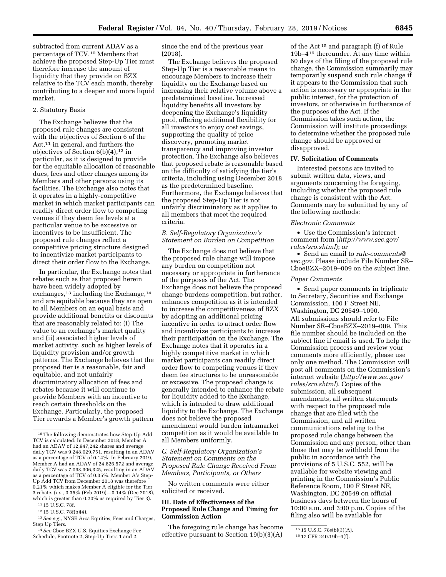subtracted from current ADAV as a percentage of TCV.10 Members that achieve the proposed Step-Up Tier must therefore increase the amount of liquidity that they provide on BZX relative to the TCV each month, thereby contributing to a deeper and more liquid market.

#### 2. Statutory Basis

The Exchange believes that the proposed rule changes are consistent with the objectives of Section 6 of the Act,<sup>11</sup> in general, and furthers the objectives of Section  $6(b)(4)$ ,<sup>12</sup> in particular, as it is designed to provide for the equitable allocation of reasonable dues, fees and other charges among its Members and other persons using its facilities. The Exchange also notes that it operates in a highly-competitive market in which market participants can readily direct order flow to competing venues if they deem fee levels at a particular venue to be excessive or incentives to be insufficient. The proposed rule changes reflect a competitive pricing structure designed to incentivize market participants to direct their order flow to the Exchange.

In particular, the Exchange notes that rebates such as that proposed herein have been widely adopted by exchanges,<sup>13</sup> including the Exchange,<sup>14</sup> and are equitable because they are open to all Members on an equal basis and provide additional benefits or discounts that are reasonably related to: (i) The value to an exchange's market quality and (ii) associated higher levels of market activity, such as higher levels of liquidity provision and/or growth patterns. The Exchange believes that the proposed tier is a reasonable, fair and equitable, and not unfairly discriminatory allocation of fees and rebates because it will continue to provide Members with an incentive to reach certain thresholds on the Exchange. Particularly, the proposed Tier rewards a Member's growth pattern

11 15 U.S.C. 78f.

12 15 U.S.C. 78f(b)(4).

14*See* Cboe BZX U.S. Equities Exchange Fee Schedule, Footnote 2, Step-Up Tiers 1 and 2.

since the end of the previous year (2018).

The Exchange believes the proposed Step-Up Tier is a reasonable means to encourage Members to increase their liquidity on the Exchange based on increasing their relative volume above a predetermined baseline. Increased liquidity benefits all investors by deepening the Exchange's liquidity pool, offering additional flexibility for all investors to enjoy cost savings, supporting the quality of price discovery, promoting market transparency and improving investor protection. The Exchange also believes that proposed rebate is reasonable based on the difficulty of satisfying the tier's criteria, including using December 2018 as the predetermined baseline. Furthermore, the Exchange believes that the proposed Step-Up Tier is not unfairly discriminatory as it applies to all members that meet the required criteria.

# *B. Self-Regulatory Organization's Statement on Burden on Competition*

The Exchange does not believe that the proposed rule change will impose any burden on competition not necessary or appropriate in furtherance of the purposes of the Act. The Exchange does not believe the proposed change burdens competition, but rather, enhances competition as it is intended to increase the competitiveness of BZX by adopting an additional pricing incentive in order to attract order flow and incentivize participants to increase their participation on the Exchange. The Exchange notes that it operates in a highly competitive market in which market participants can readily direct order flow to competing venues if they deem fee structures to be unreasonable or excessive. The proposed change is generally intended to enhance the rebate for liquidity added to the Exchange, which is intended to draw additional liquidity to the Exchange. The Exchange does not believe the proposed amendment would burden intramarket competition as it would be available to all Members uniformly.

# *C. Self-Regulatory Organization's Statement on Comments on the Proposed Rule Change Received From Members, Participants, or Others*

No written comments were either solicited or received.

# **III. Date of Effectiveness of the Proposed Rule Change and Timing for Commission Action**

The foregoing rule change has become effective pursuant to Section 19(b)(3)(A)

of the Act 15 and paragraph (f) of Rule 19b–416 thereunder. At any time within 60 days of the filing of the proposed rule change, the Commission summarily may temporarily suspend such rule change if it appears to the Commission that such action is necessary or appropriate in the public interest, for the protection of investors, or otherwise in furtherance of the purposes of the Act. If the Commission takes such action, the Commission will institute proceedings to determine whether the proposed rule change should be approved or disapproved.

## **IV. Solicitation of Comments**

Interested persons are invited to submit written data, views, and arguments concerning the foregoing, including whether the proposed rule change is consistent with the Act. Comments may be submitted by any of the following methods:

#### *Electronic Comments*

• Use the Commission's internet comment form (*[http://www.sec.gov/](http://www.sec.gov/rules/sro.shtml)  [rules/sro.shtml](http://www.sec.gov/rules/sro.shtml)*); or

• Send an email to *[rule-comments@](mailto:rule-comments@sec.gov) [sec.gov.](mailto:rule-comments@sec.gov)* Please include File Number SR– CboeBZX–2019–009 on the subject line.

#### *Paper Comments*

• Send paper comments in triplicate to Secretary, Securities and Exchange Commission, 100 F Street NE, Washington, DC 20549–1090. All submissions should refer to File Number SR–CboeBZX–2019–009. This file number should be included on the subject line if email is used. To help the Commission process and review your comments more efficiently, please use only one method. The Commission will post all comments on the Commission's internet website (*[http://www.sec.gov/](http://www.sec.gov/rules/sro.shtml)  [rules/sro.shtml](http://www.sec.gov/rules/sro.shtml)*). Copies of the submission, all subsequent amendments, all written statements with respect to the proposed rule change that are filed with the Commission, and all written communications relating to the proposed rule change between the Commission and any person, other than those that may be withheld from the public in accordance with the provisions of 5 U.S.C. 552, will be available for website viewing and printing in the Commission's Public Reference Room, 100 F Street NE, Washington, DC 20549 on official business days between the hours of 10:00 a.m. and 3:00 p.m. Copies of the filing also will be available for

<sup>10</sup>The following demonstrates how Step-Up Add TCV is calculated: In December 2018, Member A had an ADAV of 12,947,242 shares and average daily TCV was 9,248,029,751, resulting in an ADAV as a percentage of TCV of 0.14%; In February 2019, Member A had an ADAV of 24,826,572 and average daily TCV was 7,093,306,325, resulting in an ADAV as a percentage of TCV of 0.35%. Member A's Step-Up Add TCV from December 2018 was therefore 0.21% which makes Member A eligible for the Tier 3 rebate. (*i.e.,* 0.35% (Feb 2019)—0.14% (Dec 2018), which is greater than 0.20% as required by Tier 3).

<sup>13</sup>*See e.g.,* NYSE Arca Equities, Fees and Charges, Step Up Tiers.

 $15$  15 U.S.C. 78s(b)(3)(A).

<sup>16</sup> 17 CFR 240.19b–4(f).